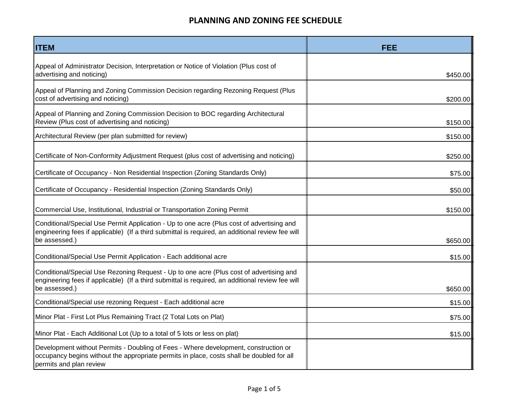| <b>ITEM</b>                                                                                                                                                                                                    | FEE                 |
|----------------------------------------------------------------------------------------------------------------------------------------------------------------------------------------------------------------|---------------------|
| Appeal of Administrator Decision, Interpretation or Notice of Violation (Plus cost of<br>advertising and noticing)                                                                                             | \$450.00            |
| Appeal of Planning and Zoning Commission Decision regarding Rezoning Request (Plus<br>cost of advertising and noticing)                                                                                        | \$200.00            |
| Appeal of Planning and Zoning Commission Decision to BOC regarding Architectural<br>Review (Plus cost of advertising and noticing)                                                                             | \$150.00            |
| Architectural Review (per plan submitted for review)                                                                                                                                                           | \$150.00            |
| Certificate of Non-Conformity Adjustment Request (plus cost of advertising and noticing)                                                                                                                       | \$250.00            |
| Certificate of Occupancy - Non Residential Inspection (Zoning Standards Only)                                                                                                                                  | \$75.00             |
| Certificate of Occupancy - Residential Inspection (Zoning Standards Only)                                                                                                                                      | \$50.00             |
| Commercial Use, Institutional, Industrial or Transportation Zoning Permit                                                                                                                                      | \$150.00            |
| Conditional/Special Use Permit Application - Up to one acre (Plus cost of advertising and<br>engineering fees if applicable) (If a third submittal is required, an additional review fee will<br>be assessed.) | \$650.00            |
| Conditional/Special Use Permit Application - Each additional acre                                                                                                                                              | \$15.00             |
| Conditional/Special Use Rezoning Request - Up to one acre (Plus cost of advertising and<br>engineering fees if applicable) (If a third submittal is required, an additional review fee will<br>be assessed.)   |                     |
| Conditional/Special use rezoning Request - Each additional acre                                                                                                                                                | \$650.00<br>\$15.00 |
| Minor Plat - First Lot Plus Remaining Tract (2 Total Lots on Plat)                                                                                                                                             | \$75.00             |
| Minor Plat - Each Additional Lot (Up to a total of 5 lots or less on plat)                                                                                                                                     | \$15.00             |
| Development without Permits - Doubling of Fees - Where development, construction or<br>occupancy begins without the appropriate permits in place, costs shall be doubled for all<br>permits and plan review    |                     |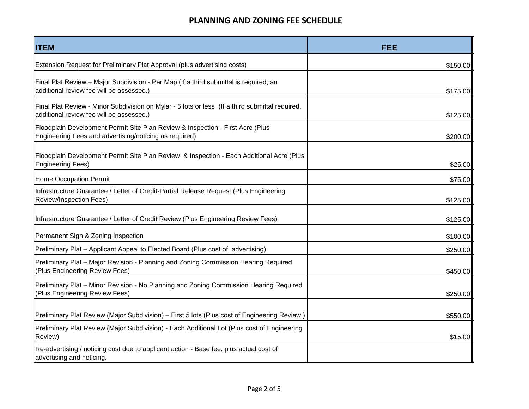| <b>ITEM</b>                                                                                                                                 | <b>FEE</b> |
|---------------------------------------------------------------------------------------------------------------------------------------------|------------|
| Extension Request for Preliminary Plat Approval (plus advertising costs)                                                                    | \$150.00   |
| Final Plat Review - Major Subdivision - Per Map (If a third submittal is required, an<br>additional review fee will be assessed.)           | \$175.00   |
| Final Plat Review - Minor Subdivision on Mylar - 5 lots or less (If a third submittal required,<br>additional review fee will be assessed.) | \$125.00   |
| Floodplain Development Permit Site Plan Review & Inspection - First Acre (Plus<br>Engineering Fees and advertising/noticing as required)    | \$200.00   |
| Floodplain Development Permit Site Plan Review & Inspection - Each Additional Acre (Plus<br><b>Engineering Fees)</b>                        | \$25.00    |
| Home Occupation Permit                                                                                                                      | \$75.00    |
| Infrastructure Guarantee / Letter of Credit-Partial Release Request (Plus Engineering<br><b>Review/Inspection Fees)</b>                     | \$125.00   |
| Infrastructure Guarantee / Letter of Credit Review (Plus Engineering Review Fees)                                                           | \$125.00   |
| Permanent Sign & Zoning Inspection                                                                                                          | \$100.00   |
| Preliminary Plat – Applicant Appeal to Elected Board (Plus cost of advertising)                                                             | \$250.00   |
| Preliminary Plat - Major Revision - Planning and Zoning Commission Hearing Required<br>(Plus Engineering Review Fees)                       | \$450.00   |
| Preliminary Plat - Minor Revision - No Planning and Zoning Commission Hearing Required<br>(Plus Engineering Review Fees)                    | \$250.00   |
| Preliminary Plat Review (Major Subdivision) - First 5 lots (Plus cost of Engineering Review)                                                | \$550.00   |
| Preliminary Plat Review (Major Subdivision) - Each Additional Lot (Plus cost of Engineering<br>Review)                                      | \$15.00    |
| Re-advertising / noticing cost due to applicant action - Base fee, plus actual cost of<br>advertising and noticing.                         |            |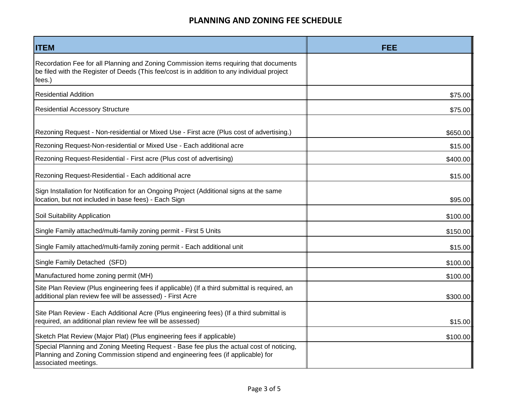| <b>ITEM</b>                                                                                                                                                                                         | <b>FEE</b> |
|-----------------------------------------------------------------------------------------------------------------------------------------------------------------------------------------------------|------------|
| Recordation Fee for all Planning and Zoning Commission items requiring that documents<br>be filed with the Register of Deeds (This fee/cost is in addition to any individual project<br>fees.)      |            |
| <b>Residential Addition</b>                                                                                                                                                                         | \$75.00    |
| <b>Residential Accessory Structure</b>                                                                                                                                                              | \$75.00    |
| Rezoning Request - Non-residential or Mixed Use - First acre (Plus cost of advertising.)                                                                                                            | \$650.00   |
| Rezoning Request-Non-residential or Mixed Use - Each additional acre                                                                                                                                | \$15.00    |
| Rezoning Request-Residential - First acre (Plus cost of advertising)                                                                                                                                | \$400.00   |
| Rezoning Request-Residential - Each additional acre                                                                                                                                                 | \$15.00    |
| Sign Installation for Notification for an Ongoing Project (Additional signs at the same<br>location, but not included in base fees) - Each Sign                                                     | \$95.00    |
| Soil Suitability Application                                                                                                                                                                        | \$100.00   |
| Single Family attached/multi-family zoning permit - First 5 Units                                                                                                                                   | \$150.00   |
| Single Family attached/multi-family zoning permit - Each additional unit                                                                                                                            | \$15.00    |
| Single Family Detached (SFD)                                                                                                                                                                        | \$100.00   |
| Manufactured home zoning permit (MH)                                                                                                                                                                | \$100.00   |
| Site Plan Review (Plus engineering fees if applicable) (If a third submittal is required, an<br>additional plan review fee will be assessed) - First Acre                                           | \$300.00   |
| Site Plan Review - Each Additional Acre (Plus engineering fees) (If a third submittal is<br>required, an additional plan review fee will be assessed)                                               | \$15.00    |
| Sketch Plat Review (Major Plat) (Plus engineering fees if applicable)                                                                                                                               | \$100.00   |
| Special Planning and Zoning Meeting Request - Base fee plus the actual cost of noticing,<br>Planning and Zoning Commission stipend and engineering fees (if applicable) for<br>associated meetings. |            |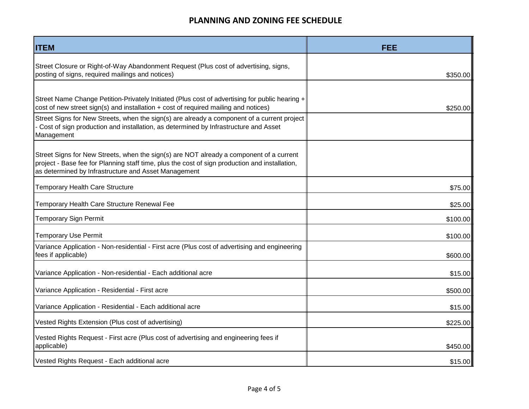| <b>ITEM</b>                                                                                                                                                                                                                                       | <b>FEE</b> |
|---------------------------------------------------------------------------------------------------------------------------------------------------------------------------------------------------------------------------------------------------|------------|
| Street Closure or Right-of-Way Abandonment Request (Plus cost of advertising, signs,<br>posting of signs, required mailings and notices)                                                                                                          | \$350.00   |
| Street Name Change Petition-Privately Initiated (Plus cost of advertising for public hearing +<br>cost of new street sign(s) and installation + cost of required mailing and notices)                                                             | \$250.00   |
| Street Signs for New Streets, when the sign(s) are already a component of a current project<br>Cost of sign production and installation, as determined by Infrastructure and Asset<br>Management                                                  |            |
| Street Signs for New Streets, when the sign(s) are NOT already a component of a current<br>project - Base fee for Planning staff time, plus the cost of sign production and installation,<br>as determined by Infrastructure and Asset Management |            |
| <b>Temporary Health Care Structure</b>                                                                                                                                                                                                            | \$75.00    |
| Temporary Health Care Structure Renewal Fee                                                                                                                                                                                                       | \$25.00    |
| <b>Temporary Sign Permit</b>                                                                                                                                                                                                                      | \$100.00   |
| <b>Temporary Use Permit</b>                                                                                                                                                                                                                       | \$100.00   |
| Variance Application - Non-residential - First acre (Plus cost of advertising and engineering<br>fees if applicable)                                                                                                                              | \$600.00   |
| Variance Application - Non-residential - Each additional acre                                                                                                                                                                                     | \$15.00    |
| Variance Application - Residential - First acre                                                                                                                                                                                                   | \$500.00   |
| Variance Application - Residential - Each additional acre                                                                                                                                                                                         | \$15.00    |
| Vested Rights Extension (Plus cost of advertising)                                                                                                                                                                                                | \$225.00   |
| Vested Rights Request - First acre (Plus cost of advertising and engineering fees if<br>applicable)                                                                                                                                               | \$450.00   |
| Vested Rights Request - Each additional acre                                                                                                                                                                                                      | \$15.00    |